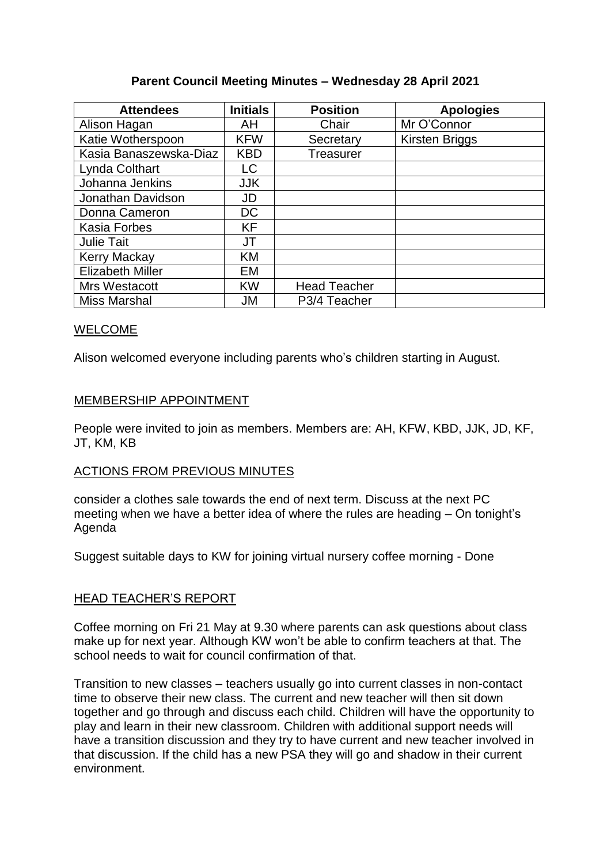# **Parent Council Meeting Minutes – Wednesday 28 April 2021**

| <b>Attendees</b>        | <b>Initials</b> | <b>Position</b>           | <b>Apologies</b> |
|-------------------------|-----------------|---------------------------|------------------|
| Alison Hagan            | AH              | Chair                     | Mr O'Connor      |
| Katie Wotherspoon       | <b>KFW</b>      | Secretary                 | Kirsten Briggs   |
| Kasia Banaszewska-Diaz  | <b>KBD</b>      | <b>Treasurer</b>          |                  |
| Lynda Colthart          | LC              |                           |                  |
| Johanna Jenkins         | <b>JJK</b>      |                           |                  |
| Jonathan Davidson       | JD              |                           |                  |
| Donna Cameron           | DC              |                           |                  |
| <b>Kasia Forbes</b>     | KF              |                           |                  |
| <b>Julie Tait</b>       | JT              |                           |                  |
| <b>Kerry Mackay</b>     | KM              |                           |                  |
| <b>Elizabeth Miller</b> | EM              |                           |                  |
| Mrs Westacott           | <b>KW</b>       | <b>Head Teacher</b>       |                  |
| Miss Marshal            | JM              | P <sub>3</sub> /4 Teacher |                  |

# WELCOME

Alison welcomed everyone including parents who's children starting in August.

# MEMBERSHIP APPOINTMENT

People were invited to join as members. Members are: AH, KFW, KBD, JJK, JD, KF, JT, KM, KB

# ACTIONS FROM PREVIOUS MINUTES

consider a clothes sale towards the end of next term. Discuss at the next PC meeting when we have a better idea of where the rules are heading – On tonight's Agenda

Suggest suitable days to KW for joining virtual nursery coffee morning - Done

# HEAD TEACHER'S REPORT

Coffee morning on Fri 21 May at 9.30 where parents can ask questions about class make up for next year. Although KW won't be able to confirm teachers at that. The school needs to wait for council confirmation of that.

Transition to new classes – teachers usually go into current classes in non-contact time to observe their new class. The current and new teacher will then sit down together and go through and discuss each child. Children will have the opportunity to play and learn in their new classroom. Children with additional support needs will have a transition discussion and they try to have current and new teacher involved in that discussion. If the child has a new PSA they will go and shadow in their current environment.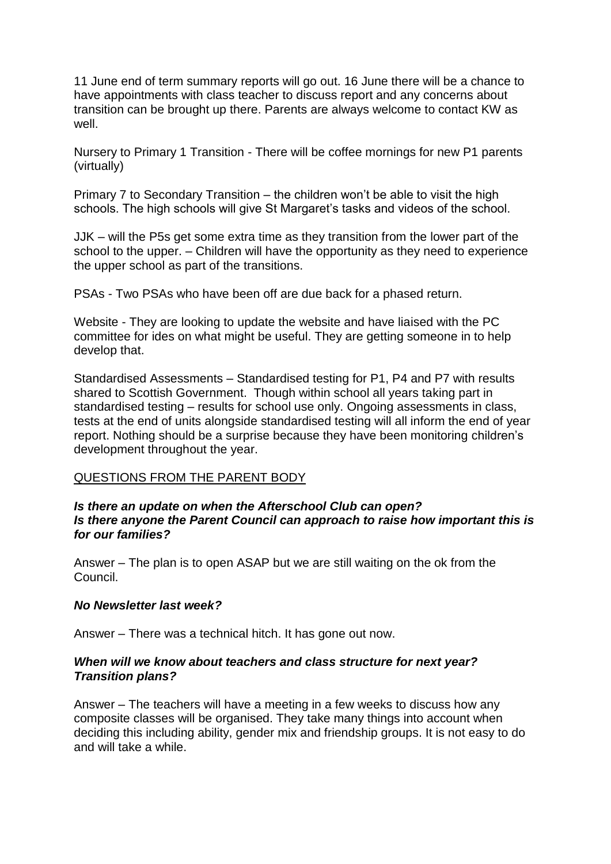11 June end of term summary reports will go out. 16 June there will be a chance to have appointments with class teacher to discuss report and any concerns about transition can be brought up there. Parents are always welcome to contact KW as well.

Nursery to Primary 1 Transition - There will be coffee mornings for new P1 parents (virtually)

Primary 7 to Secondary Transition – the children won't be able to visit the high schools. The high schools will give St Margaret's tasks and videos of the school.

JJK – will the P5s get some extra time as they transition from the lower part of the school to the upper. – Children will have the opportunity as they need to experience the upper school as part of the transitions.

PSAs - Two PSAs who have been off are due back for a phased return.

Website - They are looking to update the website and have liaised with the PC committee for ides on what might be useful. They are getting someone in to help develop that.

Standardised Assessments – Standardised testing for P1, P4 and P7 with results shared to Scottish Government. Though within school all years taking part in standardised testing – results for school use only. Ongoing assessments in class, tests at the end of units alongside standardised testing will all inform the end of year report. Nothing should be a surprise because they have been monitoring children's development throughout the year.

# QUESTIONS FROM THE PARENT BODY

# *Is there an update on when the Afterschool Club can open? Is there anyone the Parent Council can approach to raise how important this is for our families?*

Answer – The plan is to open ASAP but we are still waiting on the ok from the Council.

#### *No Newsletter last week?*

Answer – There was a technical hitch. It has gone out now.

# *When will we know about teachers and class structure for next year? Transition plans?*

Answer – The teachers will have a meeting in a few weeks to discuss how any composite classes will be organised. They take many things into account when deciding this including ability, gender mix and friendship groups. It is not easy to do and will take a while.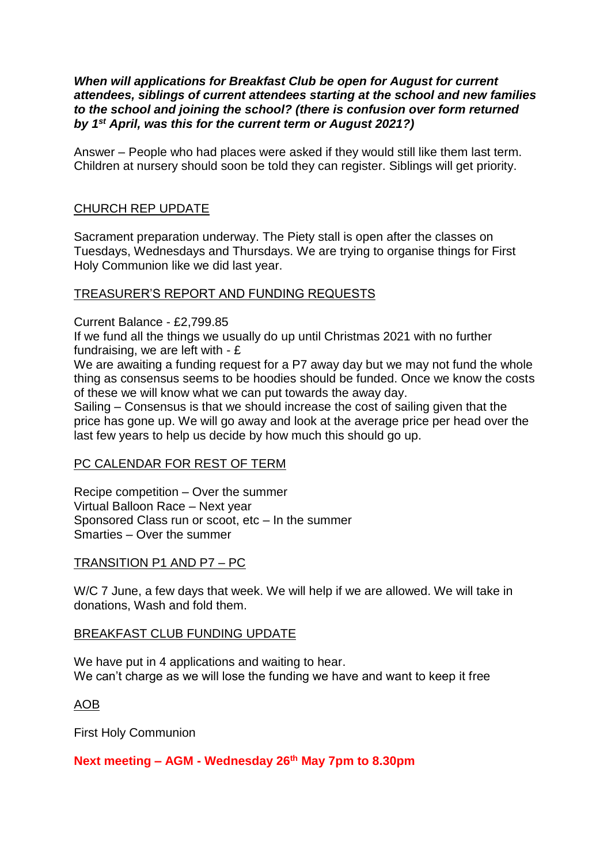### *When will applications for Breakfast Club be open for August for current attendees, siblings of current attendees starting at the school and new families to the school and joining the school? (there is confusion over form returned by 1st April, was this for the current term or August 2021?)*

Answer – People who had places were asked if they would still like them last term. Children at nursery should soon be told they can register. Siblings will get priority.

# CHURCH REP UPDATE

Sacrament preparation underway. The Piety stall is open after the classes on Tuesdays, Wednesdays and Thursdays. We are trying to organise things for First Holy Communion like we did last year.

# TREASURER'S REPORT AND FUNDING REQUESTS

Current Balance - £2,799.85

If we fund all the things we usually do up until Christmas 2021 with no further fundraising, we are left with - £

We are awaiting a funding request for a P7 away day but we may not fund the whole thing as consensus seems to be hoodies should be funded. Once we know the costs of these we will know what we can put towards the away day.

Sailing – Consensus is that we should increase the cost of sailing given that the price has gone up. We will go away and look at the average price per head over the last few years to help us decide by how much this should go up.

# PC CALENDAR FOR REST OF TERM

Recipe competition – Over the summer Virtual Balloon Race – Next year Sponsored Class run or scoot, etc – In the summer Smarties – Over the summer

# TRANSITION P1 AND P7 – PC

W/C 7 June, a few days that week. We will help if we are allowed. We will take in donations, Wash and fold them.

# BREAKFAST CLUB FUNDING UPDATE

We have put in 4 applications and waiting to hear. We can't charge as we will lose the funding we have and want to keep it free

# AOB

First Holy Communion

# **Next meeting – AGM - Wednesday 26th May 7pm to 8.30pm**